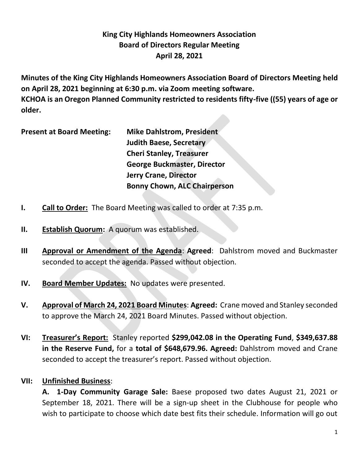# **King City Highlands Homeowners Association Board of Directors Regular Meeting April 28, 2021**

**Minutes of the King City Highlands Homeowners Association Board of Directors Meeting held on April 28, 2021 beginning at 6:30 p.m. via Zoom meeting software. KCHOA is an Oregon Planned Community restricted to residents fifty-five ((55) years of age or older.**

**Present at Board Meeting: Mike Dahlstrom, President**

**Judith Baese, Secretary Cheri Stanley, Treasurer George Buckmaster, Director Jerry Crane, Director Bonny Chown, ALC Chairperson**

- **I. Call to Order:** The Board Meeting was called to order at 7:35 p.m.
- **II. Establish Quorum:** A quorum was established.
- **III Approval or Amendment of the Agenda**: **Agreed**: Dahlstrom moved and Buckmaster seconded to accept the agenda. Passed without objection.
- **IV. Board Member Updates:** No updates were presented.
- **V. Approval of March 24, 2021 Board Minutes**: **Agreed:** Crane moved and Stanley seconded to approve the March 24, 2021 Board Minutes. Passed without objection.
- **VI: Treasurer's Report:** Stanley reported **\$299,042.08 in the Operating Fund**, **\$349,637.88 in the Reserve Fund,** for a **total of \$648,679.96. Agreed:** Dahlstrom moved and Crane seconded to accept the treasurer's report. Passed without objection.

## **VII: Unfinished Business**:

**A. 1-Day Community Garage Sale:** Baese proposed two dates August 21, 2021 or September 18, 2021. There will be a sign-up sheet in the Clubhouse for people who wish to participate to choose which date best fits their schedule. Information will go out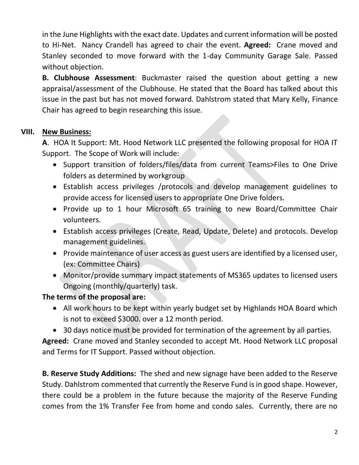in the June Highlights with the exact date. Updates and current information will be posted to Hi-Net. Nancy Crandell has agreed to chair the event. **Agreed:** Crane moved and Stanley seconded to move forward with the 1-day Community Garage Sale. Passed without objection.

**B. Clubhouse Assessment**: Buckmaster raised the question about getting a new appraisal/assessment of the Clubhouse. He stated that the Board has talked about this issue in the past but has not moved forward. Dahlstrom stated that Mary Kelly, Finance Chair has agreed to begin researching this issue.

## **VIII. New Business:**

**A**. HOA It Support: Mt. Hood Network LLC presented the following proposal for HOA IT Support. The Scope of Work will include:

- Support transition of folders/files/data from current Teams>Files to One Drive folders as determined by workgroup
- Establish access privileges /protocols and develop management guidelines to provide access for licensed users to appropriate One Drive folders.
- Provide up to 1 hour Microsoft 65 training to new Board/Committee Chair volunteers.
- Establish access privileges (Create, Read, Update, Delete) and protocols. Develop management guidelines.
- Provide maintenance of user access as guest users are identified by a licensed user, (ex: Committee Chairs)
- Monitor/provide summary impact statements of MS365 updates to licensed users Ongoing (monthly/quarterly) task.

## **The terms of the proposal are:**

- All work hours to be kept within yearly budget set by Highlands HOA Board which is not to exceed \$3000. over a 12 month period.
- 30 days notice must be provided for termination of the agreement by all parties.

**Agreed:** Crane moved and Stanley seconded to accept Mt. Hood Network LLC proposal and Terms for IT Support. Passed without objection.

**B. Reserve Study Additions:** The shed and new signage have been added to the Reserve Study. Dahlstrom commented that currently the Reserve Fund is in good shape. However, there could be a problem in the future because the majority of the Reserve Funding comes from the 1% Transfer Fee from home and condo sales. Currently, there are no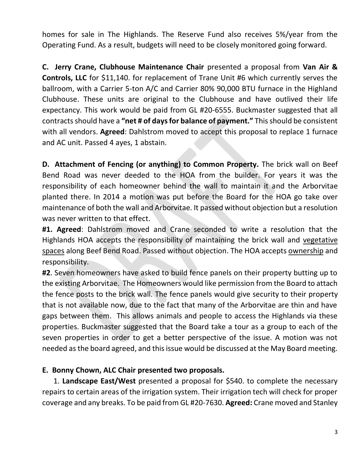homes for sale in The Highlands. The Reserve Fund also receives 5%/year from the Operating Fund. As a result, budgets will need to be closely monitored going forward.

**C. Jerry Crane, Clubhouse Maintenance Chair** presented a proposal from **Van Air & Controls, LLC** for \$11,140. for replacement of Trane Unit #6 which currently serves the ballroom, with a Carrier 5-ton A/C and Carrier 80% 90,000 BTU furnace in the Highland Clubhouse. These units are original to the Clubhouse and have outlived their life expectancy. This work would be paid from GL #20-6555. Buckmaster suggested that all contracts should have a **"net # of days for balance of payment."** This should be consistent with all vendors. **Agreed**: Dahlstrom moved to accept this proposal to replace 1 furnace and AC unit. Passed 4 ayes, 1 abstain.

**D. Attachment of Fencing (or anything) to Common Property.** The brick wall on Beef Bend Road was never deeded to the HOA from the builder. For years it was the responsibility of each homeowner behind the wall to maintain it and the Arborvitae planted there. In 2014 a motion was put before the Board for the HOA go take over maintenance of both the wall and Arborvitae. It passed without objection but a resolution was never written to that effect.

**#1. Agreed**: Dahlstrom moved and Crane seconded to write a resolution that the Highlands HOA accepts the responsibility of maintaining the brick wall and vegetative spaces along Beef Bend Road. Passed without objection. The HOA accepts ownership and responsibility.

**#2**. Seven homeowners have asked to build fence panels on their property butting up to the existing Arborvitae. The Homeowners would like permission from the Board to attach the fence posts to the brick wall. The fence panels would give security to their property that is not available now, due to the fact that many of the Arborvitae are thin and have gaps between them. This allows animals and people to access the Highlands via these properties. Buckmaster suggested that the Board take a tour as a group to each of the seven properties in order to get a better perspective of the issue. A motion was not needed as the board agreed, and this issue would be discussed at the May Board meeting.

## **E. Bonny Chown, ALC Chair presented two proposals.**

 1. **Landscape East/West** presented a proposal for \$540. to complete the necessary repairs to certain areas of the irrigation system. Their irrigation tech will check for proper coverage and any breaks. To be paid from GL #20-7630. **Agreed:** Crane moved and Stanley